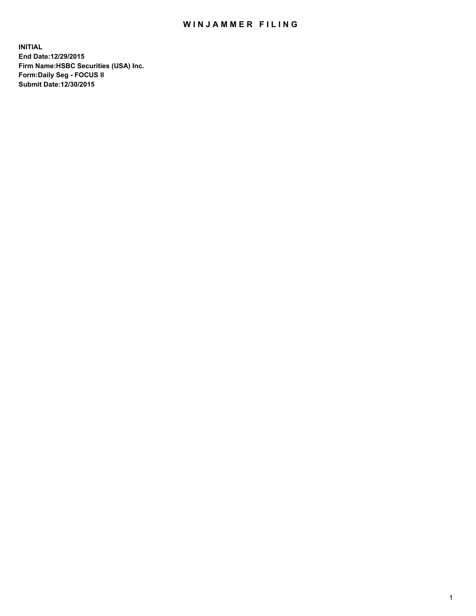# WIN JAMMER FILING

**INITIAL End Date:12/29/2015 Firm Name:HSBC Securities (USA) Inc. Form:Daily Seg - FOCUS II Submit Date:12/30/2015**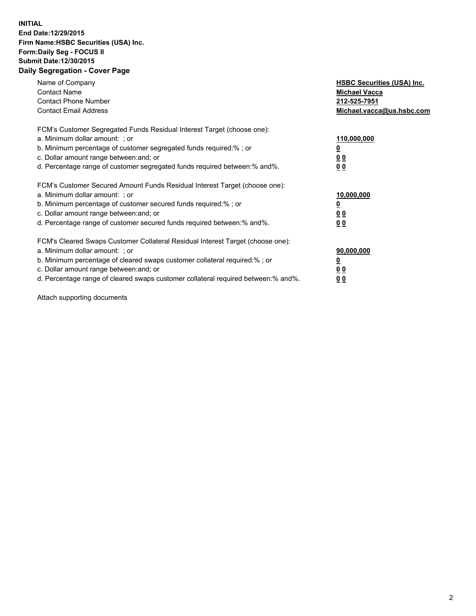#### **INITIAL End Date:12/29/2015 Firm Name:HSBC Securities (USA) Inc. Form:Daily Seg - FOCUS II Submit Date:12/30/2015 Daily Segregation - Cover Page**

| Name of Company<br><b>Contact Name</b><br><b>Contact Phone Number</b><br><b>Contact Email Address</b>                                                                                                                                                                                                                         | <b>HSBC Securities (USA) Inc.</b><br><b>Michael Vacca</b><br>212-525-7951<br>Michael.vacca@us.hsbc.com |
|-------------------------------------------------------------------------------------------------------------------------------------------------------------------------------------------------------------------------------------------------------------------------------------------------------------------------------|--------------------------------------------------------------------------------------------------------|
| FCM's Customer Segregated Funds Residual Interest Target (choose one):<br>a. Minimum dollar amount: ; or<br>b. Minimum percentage of customer segregated funds required:%; or<br>c. Dollar amount range between: and; or<br>d. Percentage range of customer segregated funds required between:% and%.                         | 110,000,000<br><u>0</u><br><u>00</u><br>00                                                             |
| FCM's Customer Secured Amount Funds Residual Interest Target (choose one):<br>a. Minimum dollar amount: ; or<br>b. Minimum percentage of customer secured funds required:%; or<br>c. Dollar amount range between: and; or<br>d. Percentage range of customer secured funds required between: % and %.                         | 10,000,000<br><u>0</u><br><u>00</u><br>00                                                              |
| FCM's Cleared Swaps Customer Collateral Residual Interest Target (choose one):<br>a. Minimum dollar amount: ; or<br>b. Minimum percentage of cleared swaps customer collateral required:%; or<br>c. Dollar amount range between: and; or<br>d. Percentage range of cleared swaps customer collateral required between:% and%. | 90,000,000<br><u>0</u><br><u>00</u><br><u>00</u>                                                       |

Attach supporting documents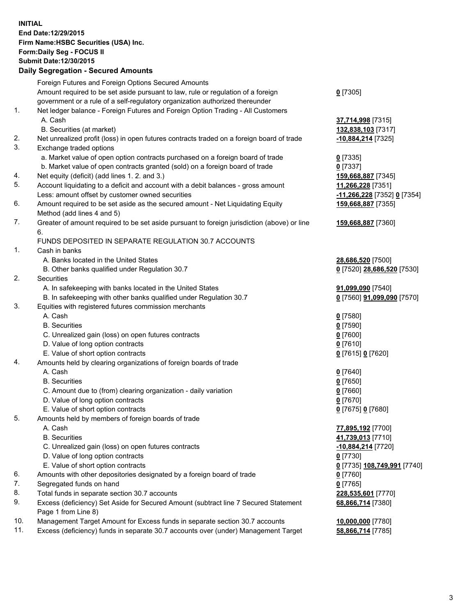**INITIAL End Date:12/29/2015 Firm Name:HSBC Securities (USA) Inc. Form:Daily Seg - FOCUS II Submit Date:12/30/2015**

## **Daily Segregation - Secured Amounts** Foreign Futures and Foreign Options Secured Amounts

Amount required to be set aside pursuant to law, rule or regulation of a foreign

government or a rule of a self-regulatory organization authorized thereunder

#### 1. Net ledger balance - Foreign Futures and Foreign Option Trading - All Customers A. Cash **37,714,998** [7315]

- B. Securities (at market) **132,838,103** [7317]
- 2. Net unrealized profit (loss) in open futures contracts traded on a foreign board of trade **-10,884,214** [7325]
- 3. Exchange traded options
	- a. Market value of open option contracts purchased on a foreign board of trade **0** [7335]
	- b. Market value of open contracts granted (sold) on a foreign board of trade **0** [7337]
- 4. Net equity (deficit) (add lines 1. 2. and 3.) **159,668,887** [7345]
- 5. Account liquidating to a deficit and account with a debit balances gross amount **11,266,228** [7351] Less: amount offset by customer owned securities **-11,266,228** [7352] **0** [7354]
- 6. Amount required to be set aside as the secured amount Net Liquidating Equity Method (add lines 4 and 5)
- 7. Greater of amount required to be set aside pursuant to foreign jurisdiction (above) or line 6.

### FUNDS DEPOSITED IN SEPARATE REGULATION 30.7 ACCOUNTS

- 1. Cash in banks
	- A. Banks located in the United States **28,686,520** [7500]
	- B. Other banks qualified under Regulation 30.7 **0** [7520] **28,686,520** [7530]
- 2. Securities
	- A. In safekeeping with banks located in the United States **91,099,090** [7540]
	- B. In safekeeping with other banks qualified under Regulation 30.7 **0** [7560] **91,099,090** [7570]
- 3. Equities with registered futures commission merchants
	-
	-
	- C. Unrealized gain (loss) on open futures contracts **0** [7600]
	- D. Value of long option contracts **0** [7610]
	- E. Value of short option contracts **0** [7615] **0** [7620]
- 4. Amounts held by clearing organizations of foreign boards of trade
	-
	-
	- C. Amount due to (from) clearing organization daily variation **0** [7660]
	- D. Value of long option contracts **0** [7670]
	- E. Value of short option contracts **0** [7675] **0** [7680]
- 5. Amounts held by members of foreign boards of trade
	-
	-
	- C. Unrealized gain (loss) on open futures contracts **-10,884,214** [7720]
	- D. Value of long option contracts **0** [7730]
	- E. Value of short option contracts **0** [7735] **108,749,991** [7740]
- 6. Amounts with other depositories designated by a foreign board of trade **0** [7760]
- 7. Segregated funds on hand **0** [7765]
- 8. Total funds in separate section 30.7 accounts **228,535,601** [7770]
- 9. Excess (deficiency) Set Aside for Secured Amount (subtract line 7 Secured Statement Page 1 from Line 8)
- 10. Management Target Amount for Excess funds in separate section 30.7 accounts **10,000,000** [7780]
- 11. Excess (deficiency) funds in separate 30.7 accounts over (under) Management Target **58,866,714** [7785]

**159,668,887** [7355] **159,668,887** [7360] A. Cash **0** [7580] B. Securities **0** [7590] A. Cash **0** [7640] B. Securities **0** [7650] A. Cash **77,895,192** [7700] B. Securities **41,739,013** [7710]

**68,866,714** [7380]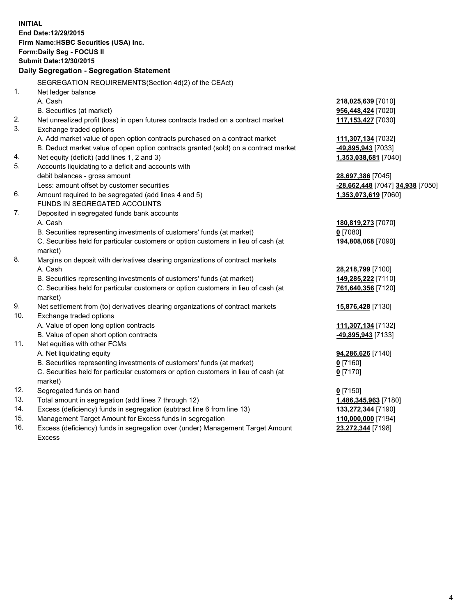**INITIAL End Date:12/29/2015 Firm Name:HSBC Securities (USA) Inc. Form:Daily Seg - FOCUS II Submit Date:12/30/2015 Daily Segregation - Segregation Statement** SEGREGATION REQUIREMENTS(Section 4d(2) of the CEAct) 1. Net ledger balance A. Cash **218,025,639** [7010] B. Securities (at market) **956,448,424** [7020] 2. Net unrealized profit (loss) in open futures contracts traded on a contract market **117,153,427** [7030] 3. Exchange traded options A. Add market value of open option contracts purchased on a contract market **111,307,134** [7032] B. Deduct market value of open option contracts granted (sold) on a contract market **-49,895,943** [7033] 4. Net equity (deficit) (add lines 1, 2 and 3) **1,353,038,681** [7040] 5. Accounts liquidating to a deficit and accounts with debit balances - gross amount **28,697,386** [7045] Less: amount offset by customer securities **-28,662,448** [7047] **34,938** [7050] 6. Amount required to be segregated (add lines 4 and 5) **1,353,073,619** [7060] FUNDS IN SEGREGATED ACCOUNTS 7. Deposited in segregated funds bank accounts A. Cash **180,819,273** [7070] B. Securities representing investments of customers' funds (at market) **0** [7080] C. Securities held for particular customers or option customers in lieu of cash (at market) **194,808,068** [7090] 8. Margins on deposit with derivatives clearing organizations of contract markets A. Cash **28,218,799** [7100] B. Securities representing investments of customers' funds (at market) **149,285,222** [7110] C. Securities held for particular customers or option customers in lieu of cash (at market) **761,640,356** [7120] 9. Net settlement from (to) derivatives clearing organizations of contract markets **15,876,428** [7130] 10. Exchange traded options A. Value of open long option contracts **111,307,134** [7132] B. Value of open short option contracts **-49,895,943** [7133] 11. Net equities with other FCMs A. Net liquidating equity **94,286,626** [7140] B. Securities representing investments of customers' funds (at market) **0** [7160] C. Securities held for particular customers or option customers in lieu of cash (at market) **0** [7170] 12. Segregated funds on hand **0** [7150] 13. Total amount in segregation (add lines 7 through 12) **1,486,345,963** [7180] 14. Excess (deficiency) funds in segregation (subtract line 6 from line 13) **133,272,344** [7190] 15. Management Target Amount for Excess funds in segregation **110,000,000** [7194] 16. Excess (deficiency) funds in segregation over (under) Management Target Amount **23,272,344** [7198]

Excess